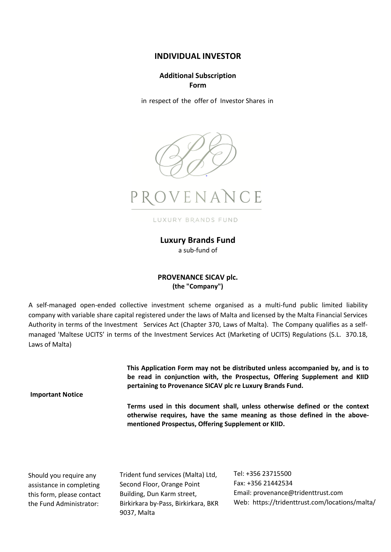## **INDIVIDUAL INVESTOR**

# **Additional Subscription Form**

in respect of the offer of Investor Shares in



/enad VCE

LUXURY BRANDS FUND

**Luxury Brands Fund** a sub-fund of

# **PROVENANCE SICAV plc. (the "Company")**

A self-managed open-ended collective investment scheme organised as a multi-fund public limited liability company with variable share capital registered under the laws of Malta and licensed by the Malta Financial Services Authority in terms of the Investment Services Act (Chapter 370, Laws of Malta). The Company qualifies as a selfmanaged 'Maltese UCITS' in terms of the Investment Services Act (Marketing of UCITS) Regulations (S.L. 370.18, Laws of Malta)

> **This Application Form may not be distributed unless accompanied by, and is to be read in conjunction with, the Prospectus, Offering Supplement and KIID pertaining to Provenance SICAV plc re Luxury Brands Fund.**

**Important Notice**

**Terms used in this document shall, unless otherwise defined or the context otherwise requires, have the same meaning as those defined in the abovementioned Prospectus, Offering Supplement or KIID.**

Should you require any assistance in completing this form, please contact the Fund Administrator:

Trident fund services (Malta) Ltd, Second Floor, Orange Point Building, Dun Karm street, Birkirkara by-Pass, Birkirkara, BKR 9037, Malta

Tel: +356 23715500 Fax: +356 21442534 Email: provenance@tridenttrust.com Web: https://tridenttrust.com/locations/malta/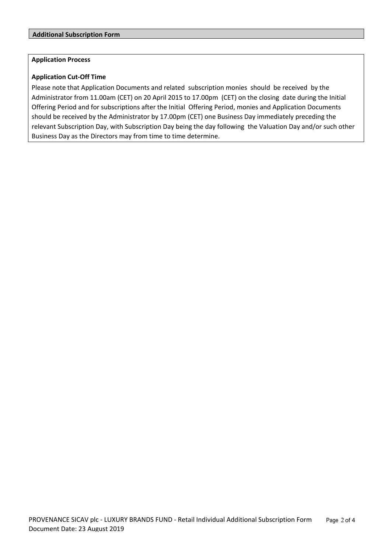### **Application Process**

## **Application Cut-Off Time**

Please note that Application Documents and related subscription monies should be received by the Administrator from 11.00am (CET) on 20 April 2015 to 17.00pm (CET) on the closing date during the Initial Offering Period and for subscriptions after the Initial Offering Period, monies and Application Documents should be received by the Administrator by 17.00pm (CET) one Business Day immediately preceding the relevant Subscription Day, with Subscription Day being the day following the Valuation Day and/or such other Business Day as the Directors may from time to time determine.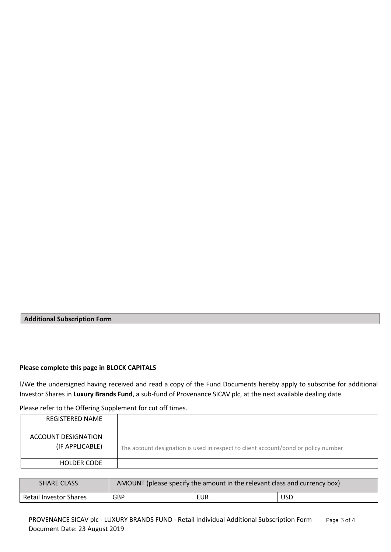# **Additional Subscription Form**

## **Please complete this page in BLOCK CAPITALS**

l/We the undersigned having received and read a copy of the Fund Documents hereby apply to subscribe for additional Investor Shares in **Luxury Brands Fund**, a sub-fund of Provenance SICAV plc, at the next available dealing date.

Please refer to the Offering Supplement for cut off times.

| REGISTERED NAME                        |                                                                                    |
|----------------------------------------|------------------------------------------------------------------------------------|
| ACCOUNT DESIGNATION<br>(IF APPLICABLE) | The account designation is used in respect to client account/bond or policy number |
| <b>HOLDER CODE</b>                     |                                                                                    |

| <b>SHARE CLASS</b>            | AMOUNT (please specify the amount in the relevant class and currency box) |     |            |
|-------------------------------|---------------------------------------------------------------------------|-----|------------|
| <b>Retail Investor Shares</b> | GBP                                                                       | EUR | <b>USD</b> |

PROVENANCE SICAV plc - LUXURY BRANDS FUND - Retail Individual Additional Subscription Form *Page* 3 *of 4* Document Date: 23 August 2019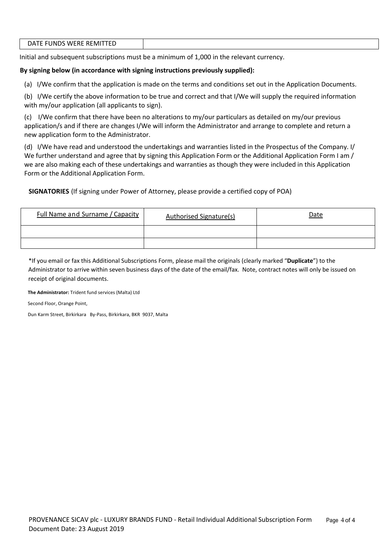| DATE FUNDS WERE REMITTED |  |
|--------------------------|--|
|--------------------------|--|

Initial and subsequent subscriptions must be a minimum of 1,000 in the relevant currency.

### **By signing below (in accordance with signing instructions previously supplied):**

(a) I/We confirm that the application is made on the terms and conditions set out in the Application Documents.

(b) I/We certify the above information to be true and correct and that I/We will supply the required information with my/our application (all applicants to sign).

(c) I/We confirm that there have been no alterations to my/our particulars as detailed on my/our previous application/s and if there are changes I/We will inform the Administrator and arrange to complete and return a new application form to the Administrator.

(d) I/We have read and understood the undertakings and warranties listed in the Prospectus of the Company. I/ We further understand and agree that by signing this Application Form or the Additional Application Form I am / we are also making each of these undertakings and warranties as though they were included in this Application Form or the Additional Application Form.

**SIGNATORIES** (If signing under Power of Attorney, please provide a certified copy of POA)

| Full Name and Surname / Capacity | Authorised Signature(s) | <b>Date</b> |
|----------------------------------|-------------------------|-------------|
|                                  |                         |             |
|                                  |                         |             |

\*If you email or fax this Additional Subscriptions Form, please mail the originals (clearly marked "**Duplicate**") to the Administrator to arrive within seven business days of the date of the email/fax. Note, contract notes will only be issued on receipt of original documents.

**The Administrator:** Trident fund services (Malta) Ltd

Second Floor, Orange Point,

Dun Karm Street, Birkirkara By-Pass, Birkirkara, BKR 9037, Malta